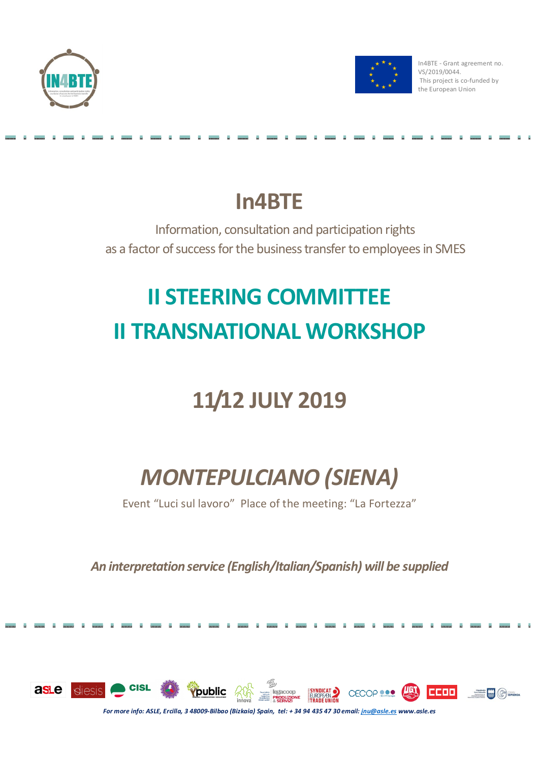



In4BTE - Grant agreement no. VS/2019/0044. This project is co-funded by the European Union

## **In4BTE**

Information, consultation and participation rights as a factor of success for the business transfer to employees in SMES

# **II STEERING COMMITTEE II TRANSNATIONAL WORKSHOP**

## **11/12 JULY 2019**

## *MONTEPULCIANO (SIENA)*

Event "Luci sul lavoro" Place of the meeting: "La Fortezza"

*An interpretation service (English/Italian/Spanish) will be supplied* 

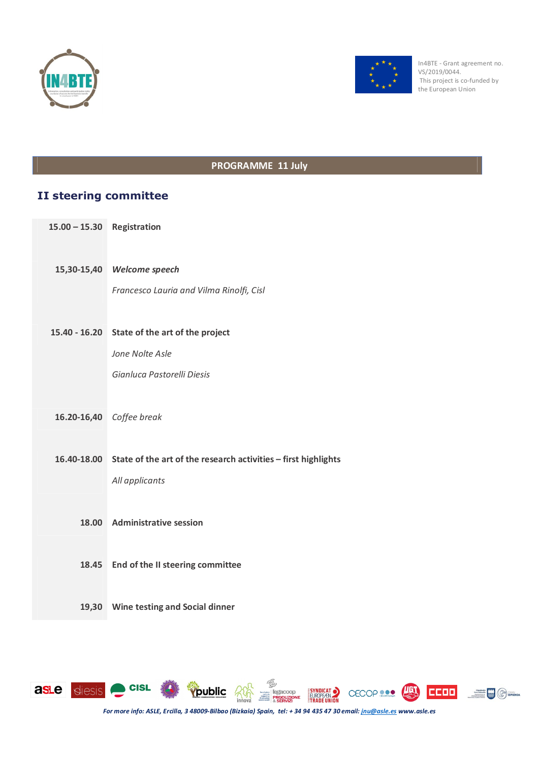



In4BTE - Grant agreement no. VS/2019/0044. This project is co-funded by the European Union

#### **PROGRAMME 11 July**

### **II steering committee**

- **15.00 – 15.30 Registration**
	- **15,30-15,40** *Welcome speech*

*Francesco Lauria and Vilma Rinolfi, Cisl*

**15.40 - 16.20 State of the art of the project** 

*Jone Nolte Asle*

*Gianluca Pastorelli Diesis*

**16.20-16,40** *Coffee break*

**16.40-18.00 State of the art of the research activities – first highlights**  *All applicants*

- **18.00 Administrative session**
- **18.45 End of the II steering committee**
- **19,30 Wine testing and Social dinner**

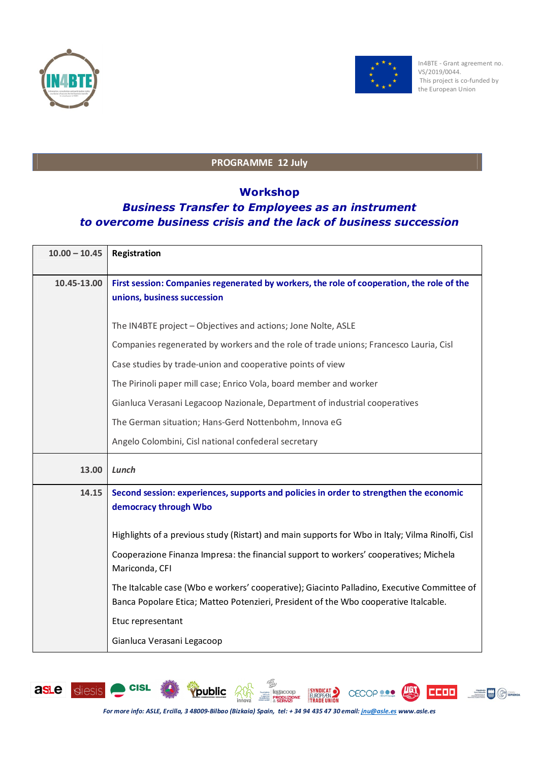



### **PROGRAMME 12 July**

### **Workshop**

## *Business Transfer to Employees as an instrument to overcome business crisis and the lack of business succession*

| $10.00 - 10.45$ | Registration                                                                                                                                                                        |
|-----------------|-------------------------------------------------------------------------------------------------------------------------------------------------------------------------------------|
| 10.45-13.00     | First session: Companies regenerated by workers, the role of cooperation, the role of the<br>unions, business succession                                                            |
|                 | The IN4BTE project - Objectives and actions; Jone Nolte, ASLE                                                                                                                       |
|                 | Companies regenerated by workers and the role of trade unions; Francesco Lauria, Cisl                                                                                               |
|                 | Case studies by trade-union and cooperative points of view                                                                                                                          |
|                 | The Pirinoli paper mill case; Enrico Vola, board member and worker                                                                                                                  |
|                 | Gianluca Verasani Legacoop Nazionale, Department of industrial cooperatives                                                                                                         |
|                 | The German situation; Hans-Gerd Nottenbohm, Innova eG                                                                                                                               |
|                 | Angelo Colombini, Cisl national confederal secretary                                                                                                                                |
| 13.00           | Lunch                                                                                                                                                                               |
| 14.15           | Second session: experiences, supports and policies in order to strengthen the economic<br>democracy through Wbo                                                                     |
|                 | Highlights of a previous study (Ristart) and main supports for Wbo in Italy; Vilma Rinolfi, Cisl                                                                                    |
|                 | Cooperazione Finanza Impresa: the financial support to workers' cooperatives; Michela<br>Mariconda, CFI                                                                             |
|                 | The Italcable case (Wbo e workers' cooperative); Giacinto Palladino, Executive Committee of<br>Banca Popolare Etica; Matteo Potenzieri, President of the Wbo cooperative Italcable. |
|                 | Etuc representant                                                                                                                                                                   |
|                 | Gianluca Verasani Legacoop                                                                                                                                                          |